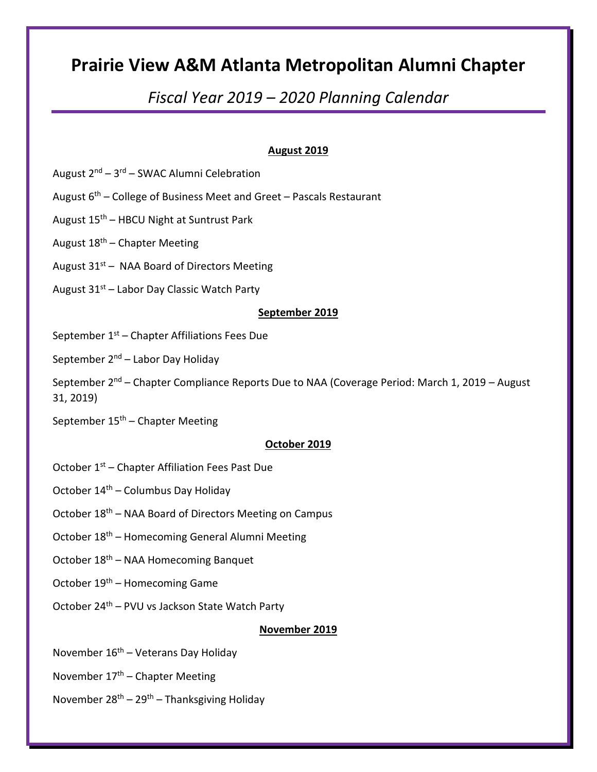# Prairie View A&M Atlanta Metropolitan Alumni Chapter

# Fiscal Year 2019 – 2020 Planning Calendar

# August 2019

- August  $2^{nd}$   $3^{rd}$  SWAC Alumni Celebration
- August  $6<sup>th</sup>$  College of Business Meet and Greet Pascals Restaurant
- August  $15<sup>th</sup>$  HBCU Night at Suntrust Park
- August  $18<sup>th</sup>$  Chapter Meeting
- August  $31<sup>st</sup>$  NAA Board of Directors Meeting
- August 31<sup>st</sup> Labor Day Classic Watch Party

# September 2019

- September  $1<sup>st</sup>$  Chapter Affiliations Fees Due
- September  $2^{nd}$  Labor Day Holiday
- September 2<sup>nd</sup> Chapter Compliance Reports Due to NAA (Coverage Period: March 1, 2019 August 31, 2019)
- September  $15<sup>th</sup>$  Chapter Meeting

# October 2019

- October 1<sup>st</sup> Chapter Affiliation Fees Past Due
- October  $14<sup>th</sup>$  Columbus Day Holiday
- October 18<sup>th</sup> NAA Board of Directors Meeting on Campus
- October 18<sup>th</sup> Homecoming General Alumni Meeting
- October 18th NAA Homecoming Banquet
- October 19th Homecoming Game
- October 24th PVU vs Jackson State Watch Party

# November 2019

- November  $16<sup>th</sup>$  Veterans Day Holiday
- November  $17<sup>th</sup>$  Chapter Meeting
- November  $28^{th} 29^{th} -$  Thanksgiving Holiday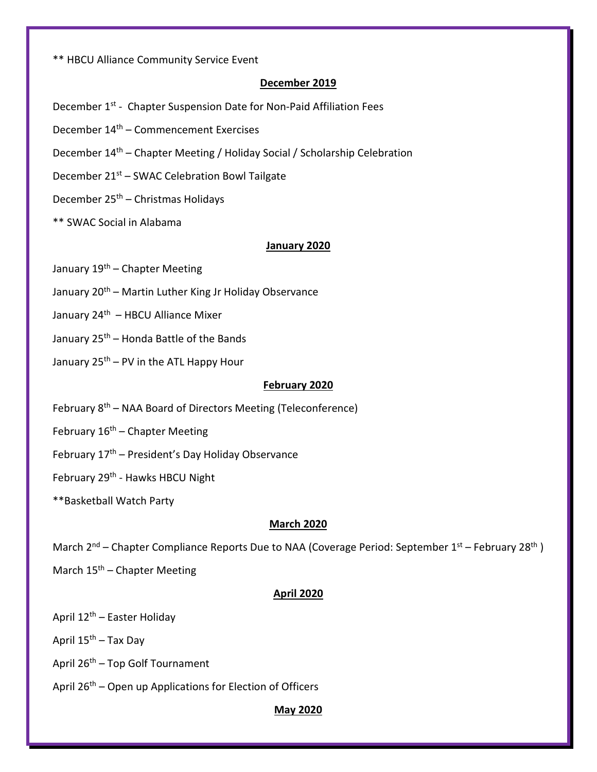\*\* HBCU Alliance Community Service Event

# December 2019

- December 1<sup>st</sup> Chapter Suspension Date for Non-Paid Affiliation Fees
- December 14th Commencement Exercises
- December 14th Chapter Meeting / Holiday Social / Scholarship Celebration
- December 21st SWAC Celebration Bowl Tailgate
- December 25th Christmas Holidays
- \*\* SWAC Social in Alabama

## January 2020

- January 19<sup>th</sup> Chapter Meeting
- January 20<sup>th</sup> Martin Luther King Jr Holiday Observance
- January  $24<sup>th</sup>$  HBCU Alliance Mixer
- January 25<sup>th</sup> Honda Battle of the Bands
- January  $25<sup>th</sup> PV$  in the ATL Happy Hour

# February 2020

- February 8th NAA Board of Directors Meeting (Teleconference)
- February  $16<sup>th</sup>$  Chapter Meeting
- February  $17<sup>th</sup>$  President's Day Holiday Observance
- February 29<sup>th</sup> Hawks HBCU Night
- \*\*Basketball Watch Party

## March 2020

- March 2<sup>nd</sup> Chapter Compliance Reports Due to NAA (Coverage Period: September 1<sup>st</sup> February 28<sup>th</sup>)
- March  $15<sup>th</sup>$  Chapter Meeting

## April 2020

- April 12th Easter Holiday
- April 15<sup>th</sup> Tax Day
- April  $26<sup>th</sup>$  Top Golf Tournament
- April 26<sup>th</sup> Open up Applications for Election of Officers

## May 2020